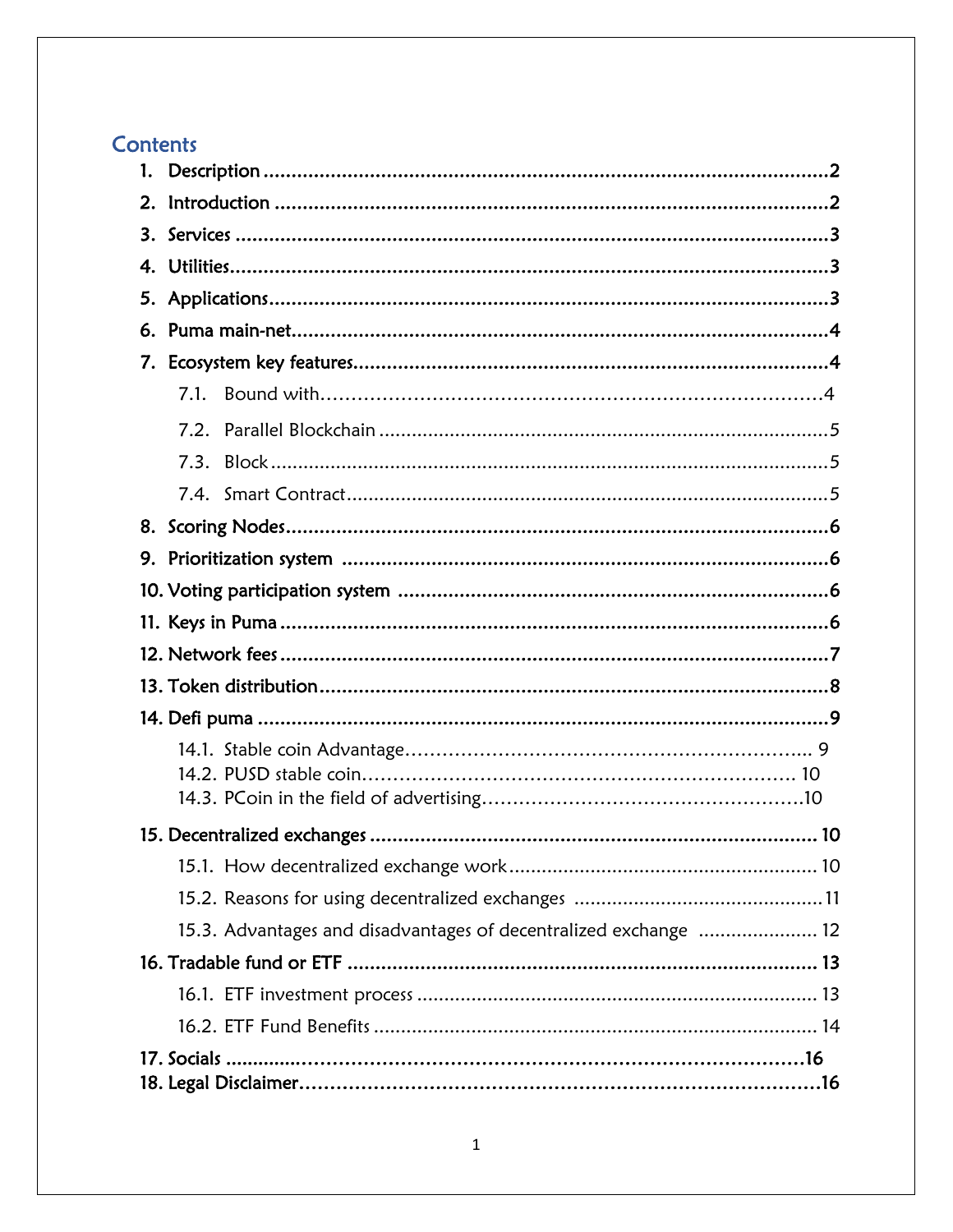# Contents

| 1.                                                               |  |
|------------------------------------------------------------------|--|
| 2.                                                               |  |
|                                                                  |  |
|                                                                  |  |
|                                                                  |  |
| 6.                                                               |  |
| 7.                                                               |  |
| 7.1                                                              |  |
| 7.2                                                              |  |
|                                                                  |  |
|                                                                  |  |
|                                                                  |  |
|                                                                  |  |
|                                                                  |  |
|                                                                  |  |
|                                                                  |  |
|                                                                  |  |
|                                                                  |  |
|                                                                  |  |
|                                                                  |  |
|                                                                  |  |
|                                                                  |  |
|                                                                  |  |
|                                                                  |  |
| 15.3. Advantages and disadvantages of decentralized exchange  12 |  |
|                                                                  |  |
|                                                                  |  |
|                                                                  |  |
|                                                                  |  |
|                                                                  |  |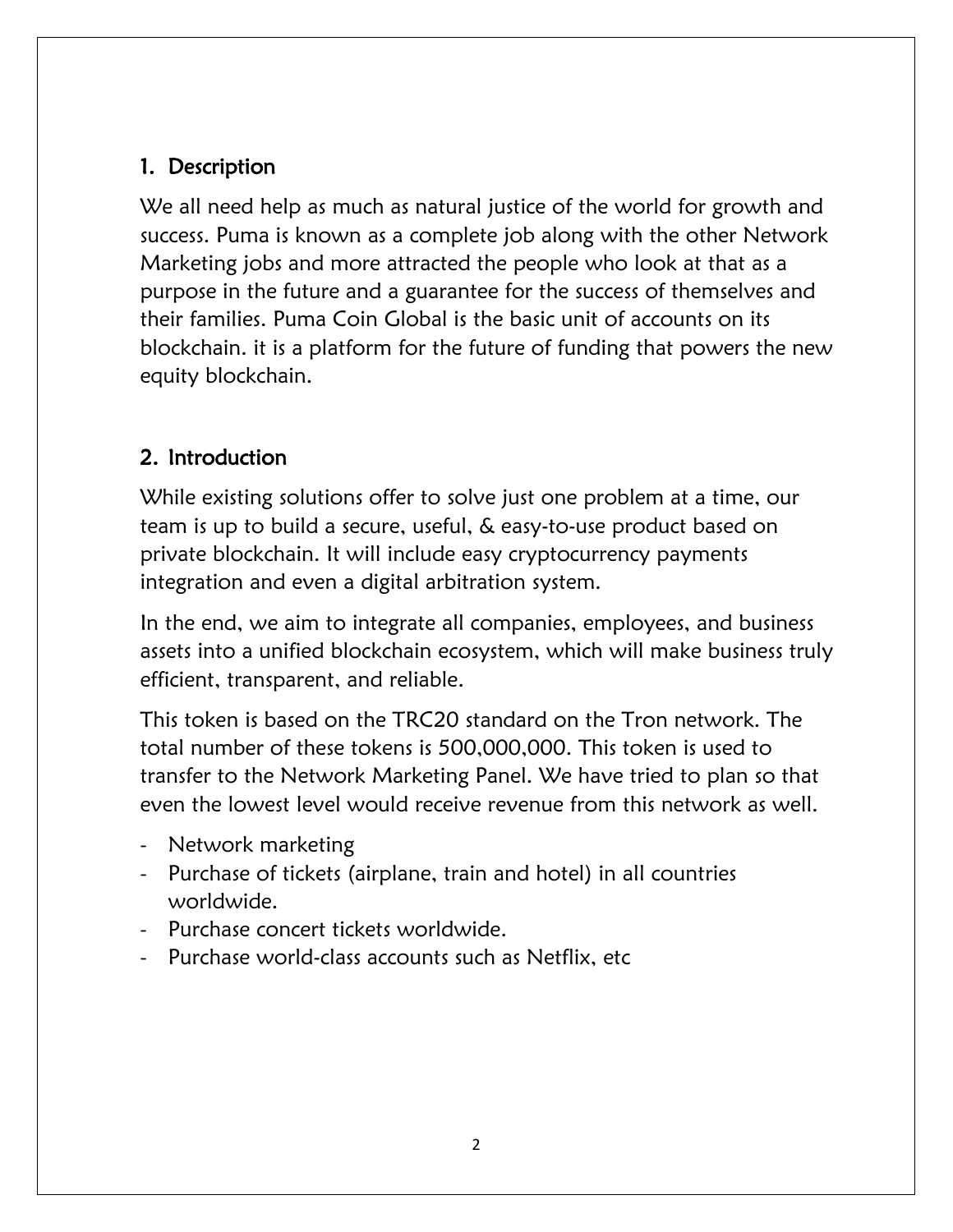# 1. Description

We all need help as much as natural justice of the world for growth and success. Puma is known as a complete job along with the other Network Marketing jobs and more attracted the people who look at that as a purpose in the future and a guarantee for the success of themselves and their families. Puma Coin Global is the basic unit of accounts on its blockchain. it is a platform for the future of funding that powers the new equity blockchain.

# 2. Introduction

While existing solutions offer to solve just one problem at a time, our team is up to build a secure, useful, & easy-to-use product based on private blockchain. It will include easy cryptocurrency payments integration and even a digital arbitration system.

In the end, we aim to integrate all companies, employees, and business assets into a unified blockchain ecosystem, which will make business truly efficient, transparent, and reliable.

This token is based on the TRC20 standard on the Tron network. The total number of these tokens is 500,000,000. This token is used to transfer to the Network Marketing Panel. We have tried to plan so that even the lowest level would receive revenue from this network as well.

- Network marketing
- Purchase of tickets (airplane, train and hotel) in all countries worldwide.
- Purchase concert tickets worldwide.
- Purchase world-class accounts such as Netflix, etc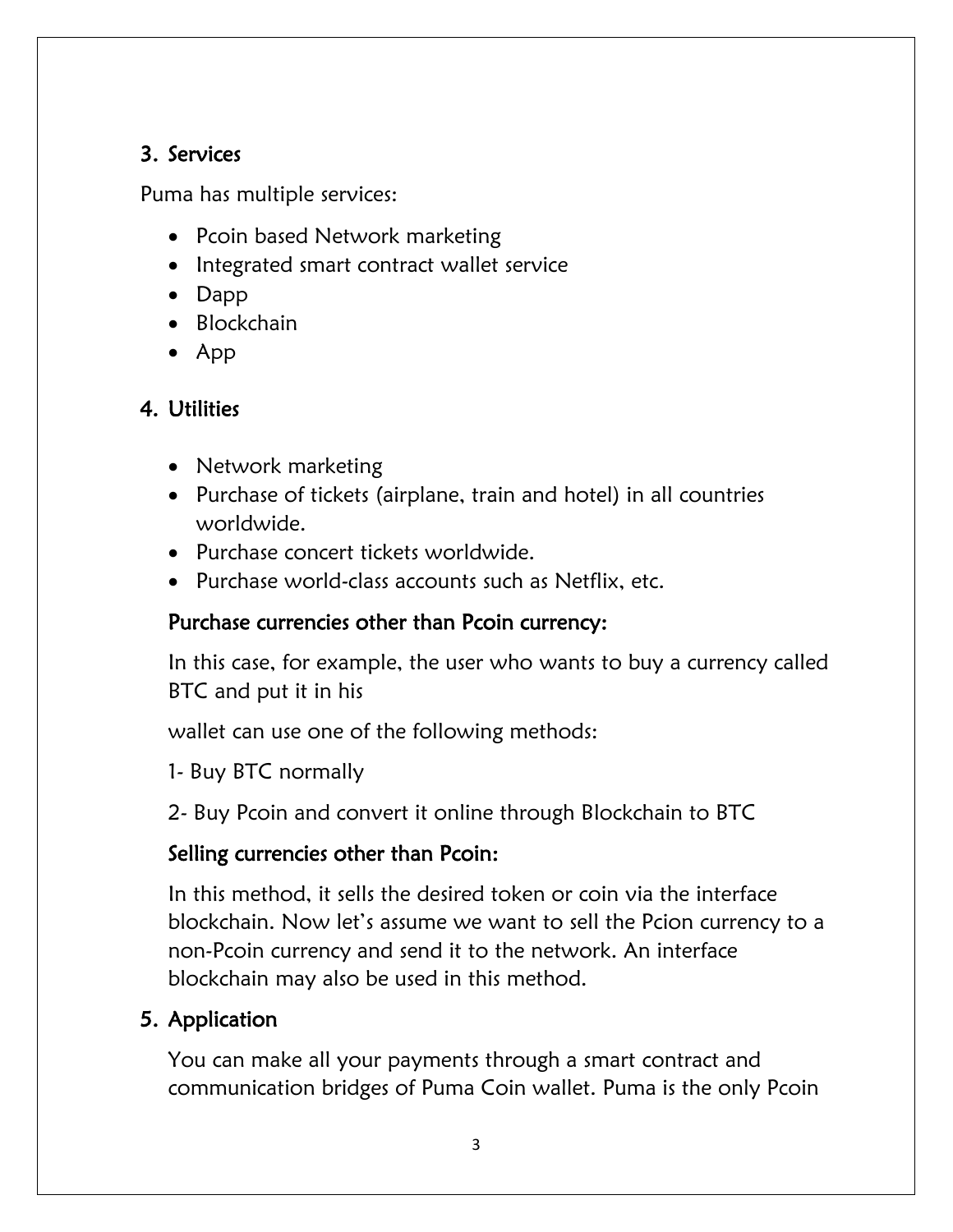# 3. Services

Puma has multiple services:

- Pcoin based Network marketing
- Integrated smart contract wallet service
- Dapp
- Blockchain
- App

# 4. Utilities

- Network marketing
- Purchase of tickets (airplane, train and hotel) in all countries worldwide.
- Purchase concert tickets worldwide.
- Purchase world-class accounts such as Netflix, etc.

# Purchase currencies other than Pcoin currency:

In this case, for example, the user who wants to buy a currency called BTC and put it in his

wallet can use one of the following methods:

1- Buy BTC normally

2- Buy Pcoin and convert it online through Blockchain to BTC

# Selling currencies other than Pcoin:

In this method, it sells the desired token or coin via the interface blockchain. Now let's assume we want to sell the Pcion currency to a non-Pcoin currency and send it to the network. An interface blockchain may also be used in this method.

# 5. Application

You can make all your payments through a smart contract and communication bridges of Puma Coin wallet. Puma is the only Pcoin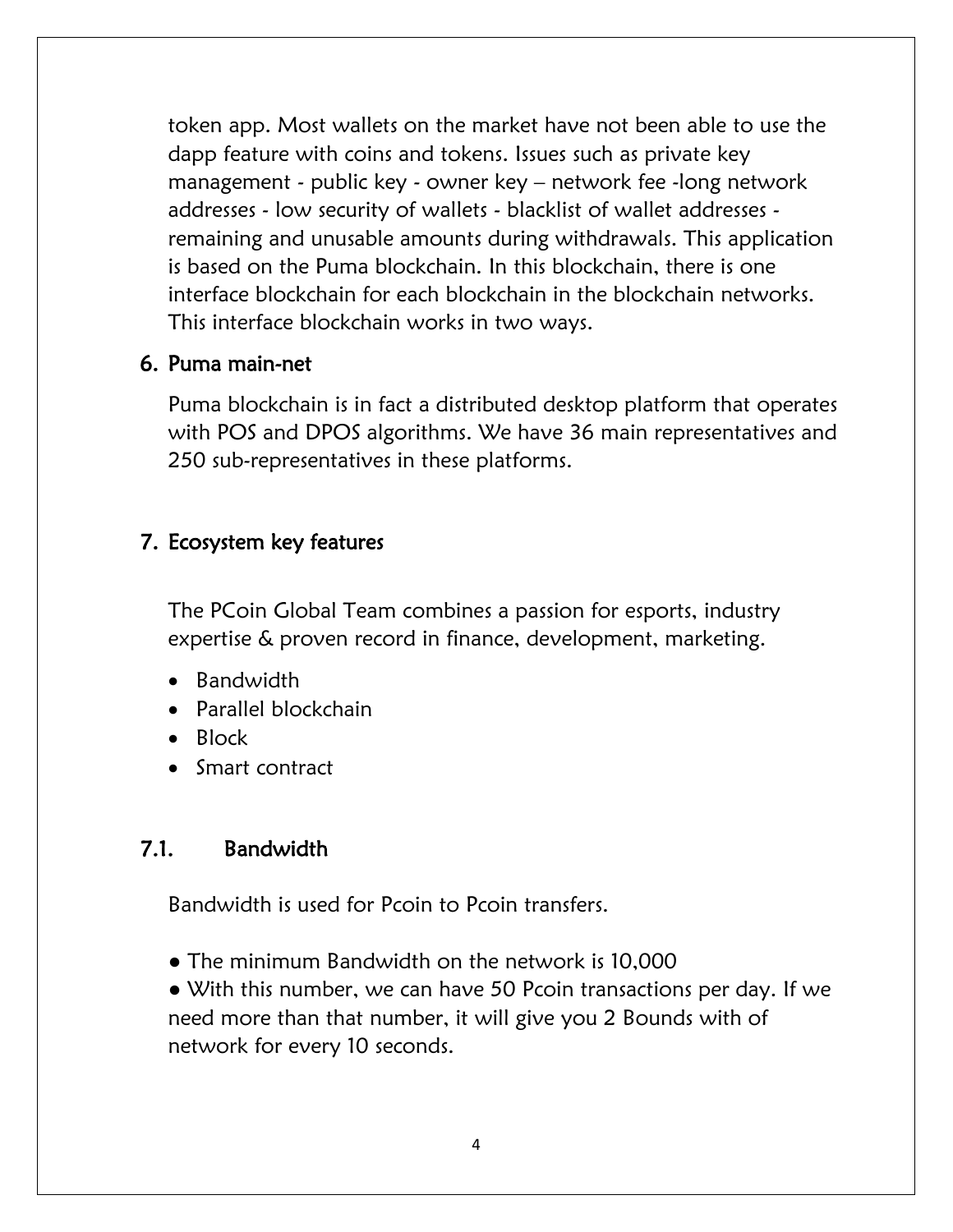token app. Most wallets on the market have not been able to use the dapp feature with coins and tokens. Issues such as private key management - public key - owner key – network fee -long network addresses - low security of wallets - blacklist of wallet addresses remaining and unusable amounts during withdrawals. This application is based on the Puma blockchain. In this blockchain, there is one interface blockchain for each blockchain in the blockchain networks. This interface blockchain works in two ways.

#### 6. Puma main-net

Puma blockchain is in fact a distributed desktop platform that operates with POS and DPOS algorithms. We have 36 main representatives and 250 sub-representatives in these platforms.

#### 7. Ecosystem key features

The PCoin Global Team combines a passion for esports, industry expertise & proven record in finance, development, marketing.

- Bandwidth
- Parallel blockchain
- Block
- Smart contract

#### 7.1. Bandwidth

Bandwidth is used for Pcoin to Pcoin transfers.

• The minimum Bandwidth on the network is 10,000

● With this number, we can have 50 Pcoin transactions per day. If we need more than that number, it will give you 2 Bounds with of network for every 10 seconds.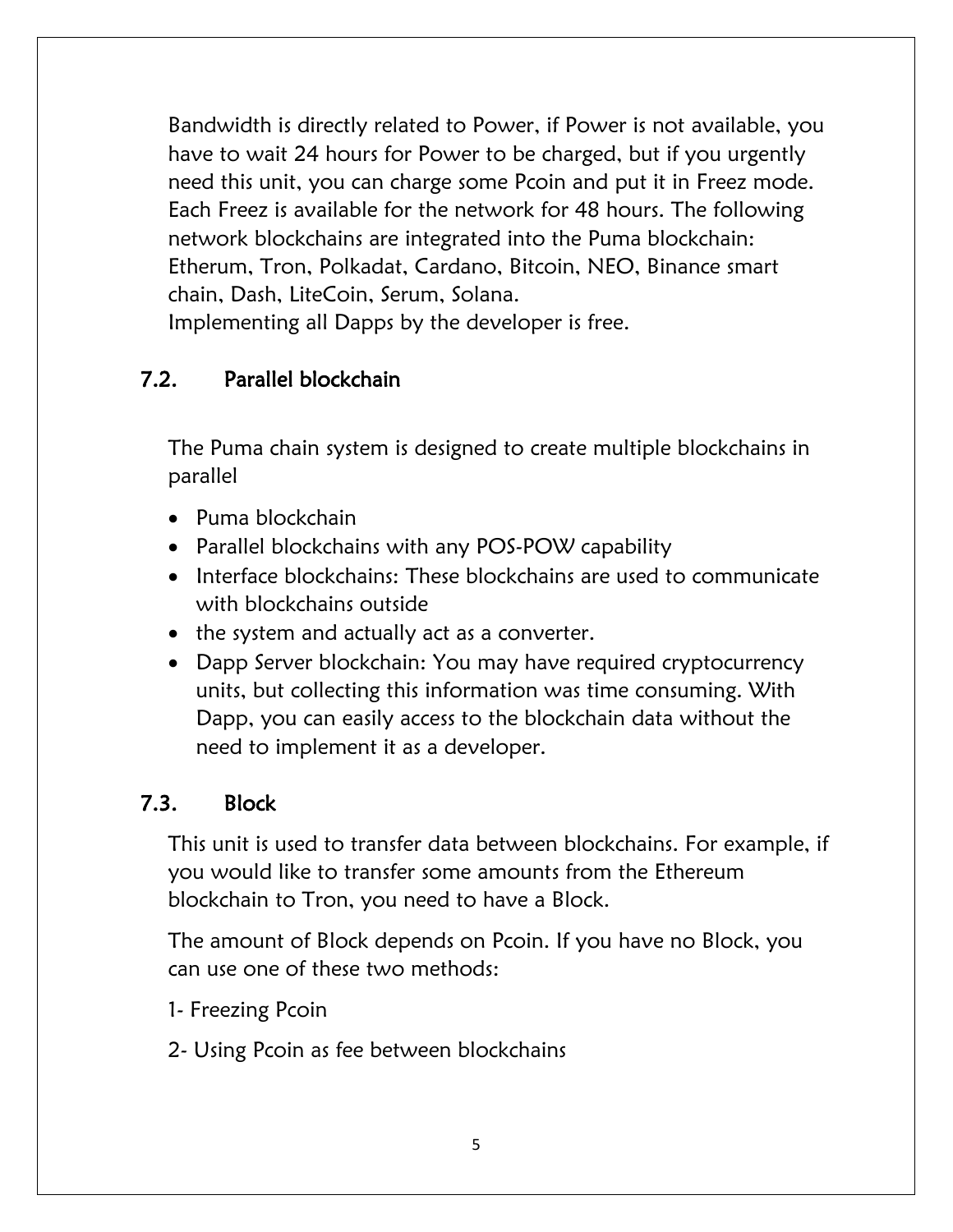Bandwidth is directly related to Power, if Power is not available, you have to wait 24 hours for Power to be charged, but if you urgently need this unit, you can charge some Pcoin and put it in Freez mode. Each Freez is available for the network for 48 hours. The following network blockchains are integrated into the Puma blockchain: Etherum, Tron, Polkadat, Cardano, Bitcoin, NEO, Binance smart chain, Dash, LiteCoin, Serum, Solana.

Implementing all Dapps by the developer is free.

# 7.2. Parallel blockchain

The Puma chain system is designed to create multiple blockchains in parallel

- Puma blockchain
- Parallel blockchains with any POS-POW capability
- Interface blockchains: These blockchains are used to communicate with blockchains outside
- the system and actually act as a converter.
- Dapp Server blockchain: You may have required cryptocurrency units, but collecting this information was time consuming. With Dapp, you can easily access to the blockchain data without the need to implement it as a developer.

# 7.3. Block

This unit is used to transfer data between blockchains. For example, if you would like to transfer some amounts from the Ethereum blockchain to Tron, you need to have a Block.

The amount of Block depends on Pcoin. If you have no Block, you can use one of these two methods:

- 1- Freezing Pcoin
- 2- Using Pcoin as fee between blockchains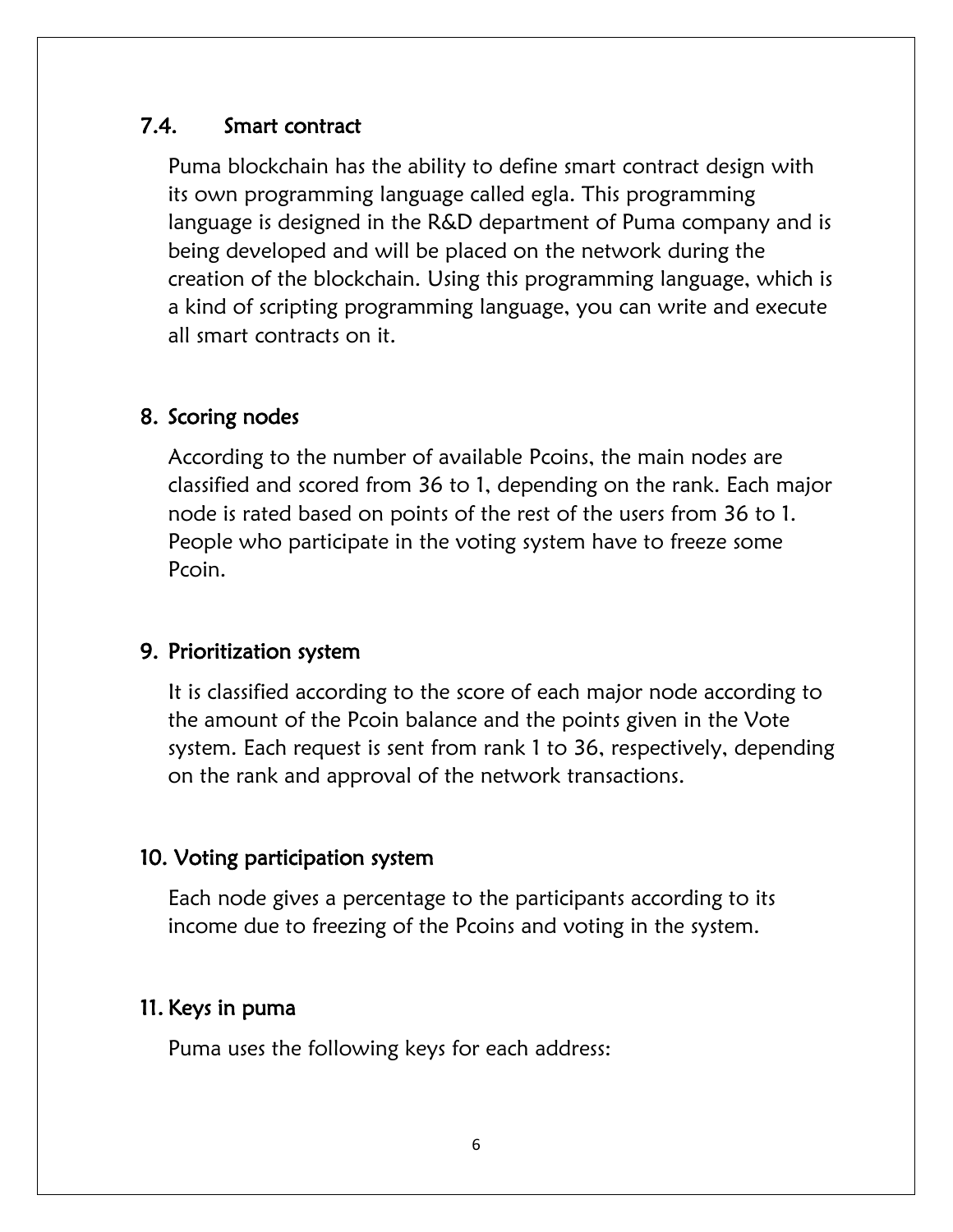#### 7.4. Smart contract

Puma blockchain has the ability to define smart contract design with its own programming language called egla. This programming language is designed in the R&D department of Puma company and is being developed and will be placed on the network during the creation of the blockchain. Using this programming language, which is a kind of scripting programming language, you can write and execute all smart contracts on it.

### 8. Scoring nodes

According to the number of available Pcoins, the main nodes are classified and scored from 36 to 1, depending on the rank. Each major node is rated based on points of the rest of the users from 36 to 1. People who participate in the voting system have to freeze some Pcoin.

#### 9. Prioritization system

It is classified according to the score of each major node according to the amount of the Pcoin balance and the points given in the Vote system. Each request is sent from rank 1 to 36, respectively, depending on the rank and approval of the network transactions.

#### 10. Voting participation system

Each node gives a percentage to the participants according to its income due to freezing of the Pcoins and voting in the system.

#### 11. Keys in puma

Puma uses the following keys for each address: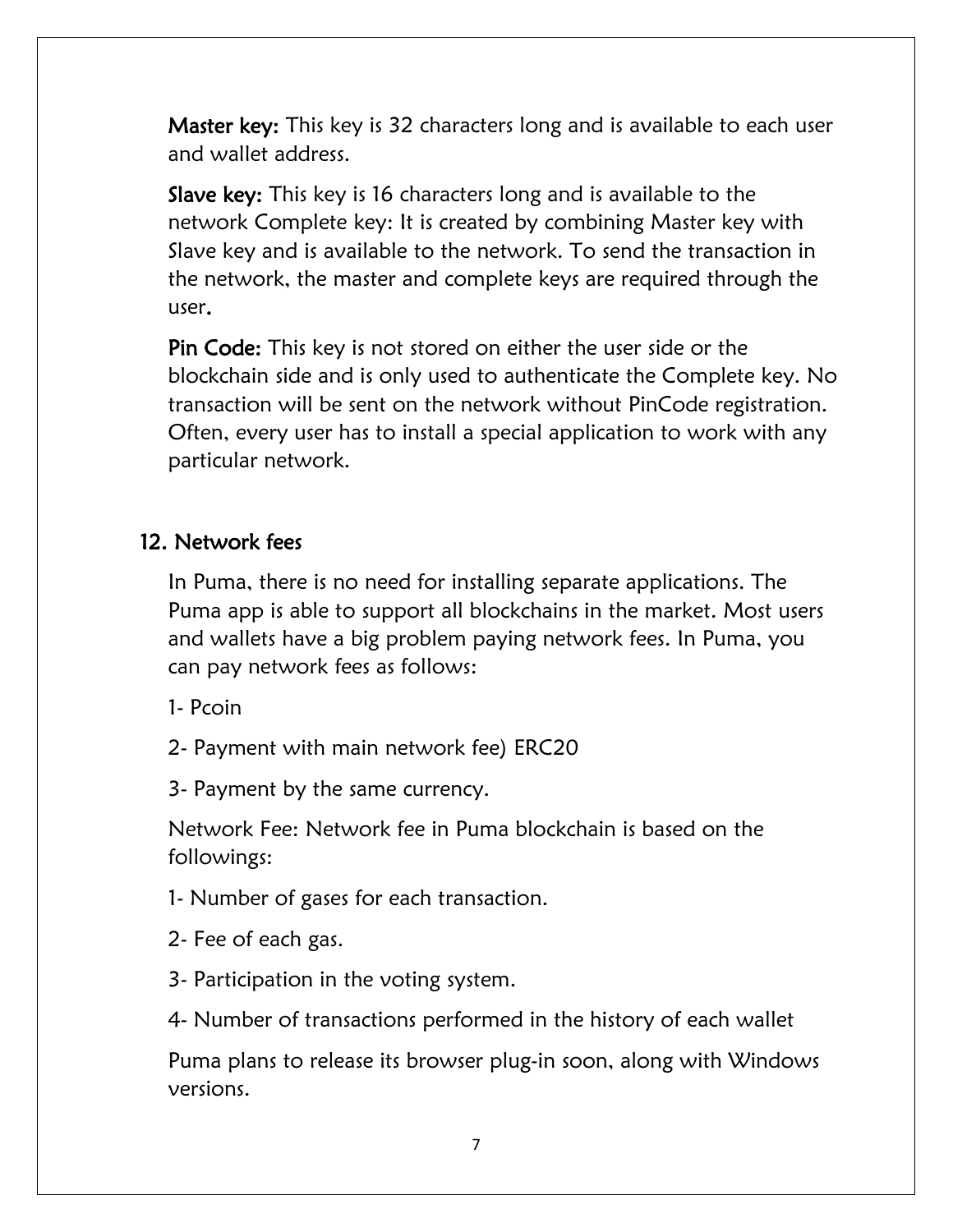Master key: This key is 32 characters long and is available to each user and wallet address.

Slave key: This key is 16 characters long and is available to the network Complete key: It is created by combining Master key with Slave key and is available to the network. To send the transaction in the network, the master and complete keys are required through the user.

Pin Code: This key is not stored on either the user side or the blockchain side and is only used to authenticate the Complete key. No transaction will be sent on the network without PinCode registration. Often, every user has to install a special application to work with any particular network.

#### 12. Network fees

In Puma, there is no need for installing separate applications. The Puma app is able to support all blockchains in the market. Most users and wallets have a big problem paying network fees. In Puma, you can pay network fees as follows:

1- Pcoin

2- Payment with main network fee) ERC20

3- Payment by the same currency.

Network Fee: Network fee in Puma blockchain is based on the followings:

1- Number of gases for each transaction.

- 2- Fee of each gas.
- 3- Participation in the voting system.

4- Number of transactions performed in the history of each wallet

Puma plans to release its browser plug-in soon, along with Windows versions.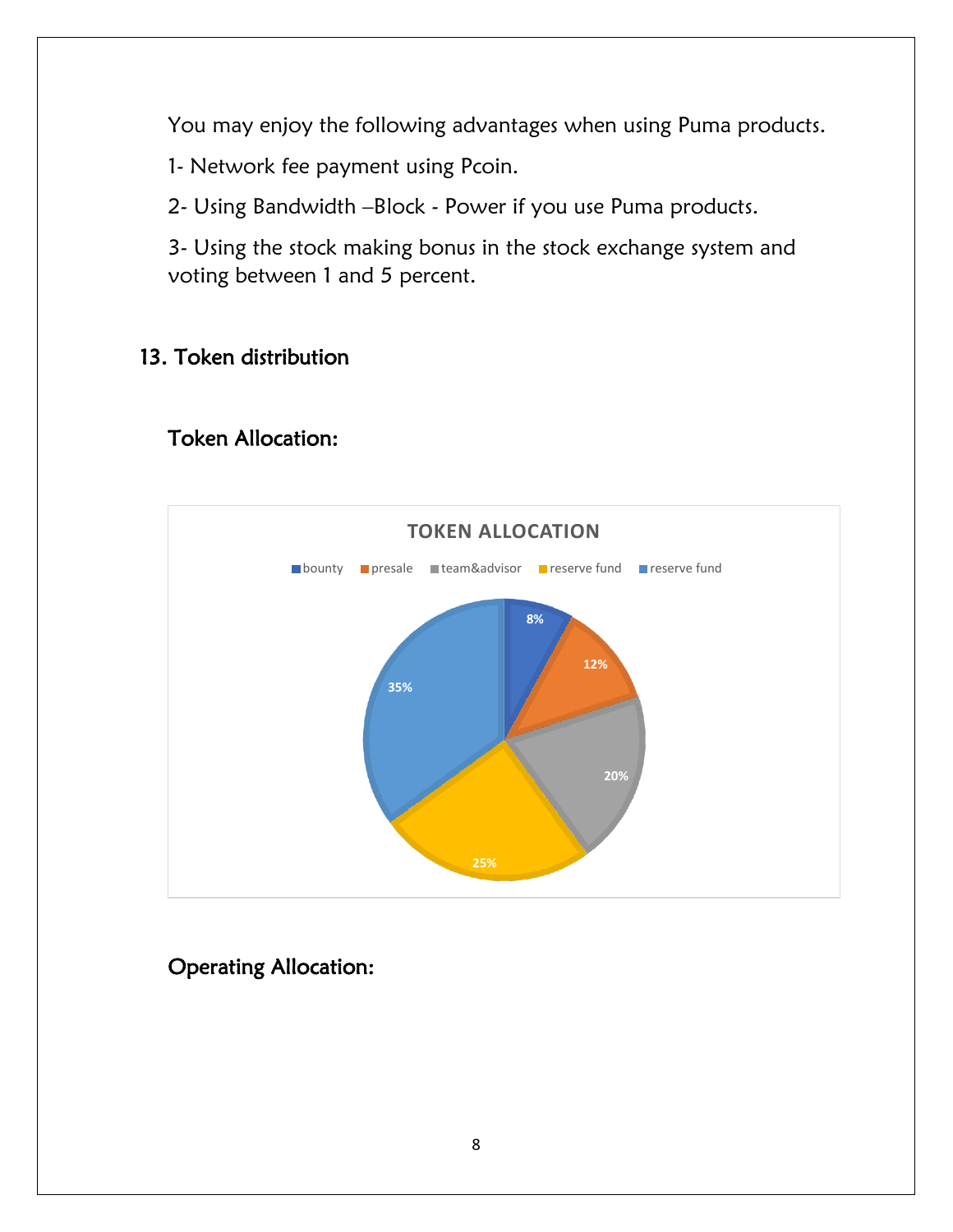You may enjoy the following advantages when using Puma products.

1- Network fee payment using Pcoin.

2- Using Bandwidth –Block - Power if you use Puma products.

3- Using the stock making bonus in the stock exchange system and voting between 1 and 5 percent.

# 13. Token distribution

# Token Allocation:



# Operating Allocation: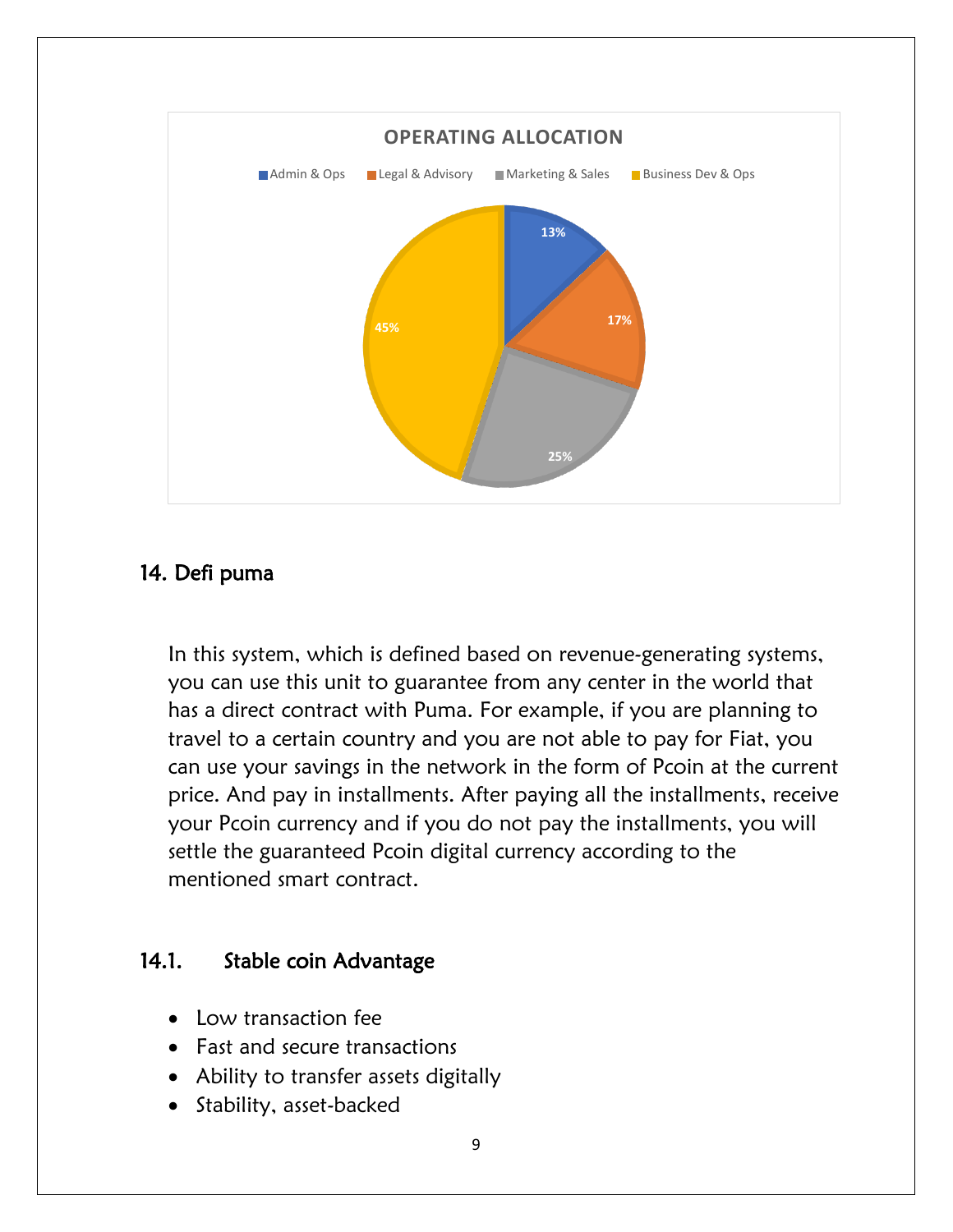

### 14. Defi puma

In this system, which is defined based on revenue-generating systems, you can use this unit to guarantee from any center in the world that has a direct contract with Puma. For example, if you are planning to travel to a certain country and you are not able to pay for Fiat, you can use your savings in the network in the form of Pcoin at the current price. And pay in installments. After paying all the installments, receive your Pcoin currency and if you do not pay the installments, you will settle the guaranteed Pcoin digital currency according to the mentioned smart contract.

#### 14.1. Stable coin Advantage

- Low transaction fee
- Fast and secure transactions
- Ability to transfer assets digitally
- Stability, asset-backed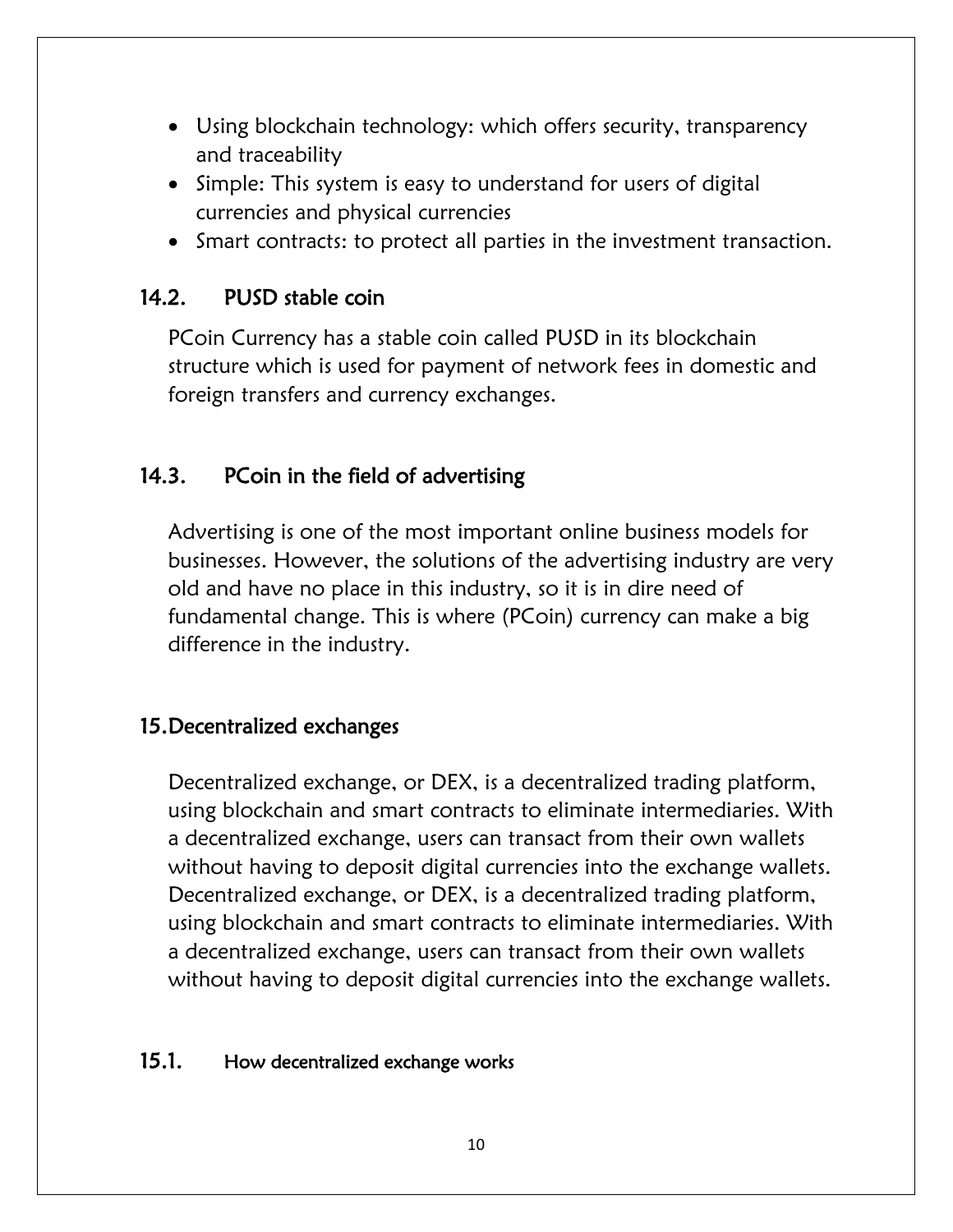- Using blockchain technology: which offers security, transparency and traceability
- Simple: This system is easy to understand for users of digital currencies and physical currencies
- Smart contracts: to protect all parties in the investment transaction.

### 14.2. PUSD stable coin

PCoin Currency has a stable coin called PUSD in its blockchain structure which is used for payment of network fees in domestic and foreign transfers and currency exchanges.

# 14.3. PCoin in the field of advertising

Advertising is one of the most important online business models for businesses. However, the solutions of the advertising industry are very old and have no place in this industry, so it is in dire need of fundamental change. This is where (PCoin) currency can make a big difference in the industry.

## 15.Decentralized exchanges

Decentralized exchange, or DEX, is a decentralized trading platform, using blockchain and smart contracts to eliminate intermediaries. With a decentralized exchange, users can transact from their own wallets without having to deposit digital currencies into the exchange wallets. Decentralized exchange, or DEX, is a decentralized trading platform, using blockchain and smart contracts to eliminate intermediaries. With a decentralized exchange, users can transact from their own wallets without having to deposit digital currencies into the exchange wallets.

#### 15.1. How decentralized exchange works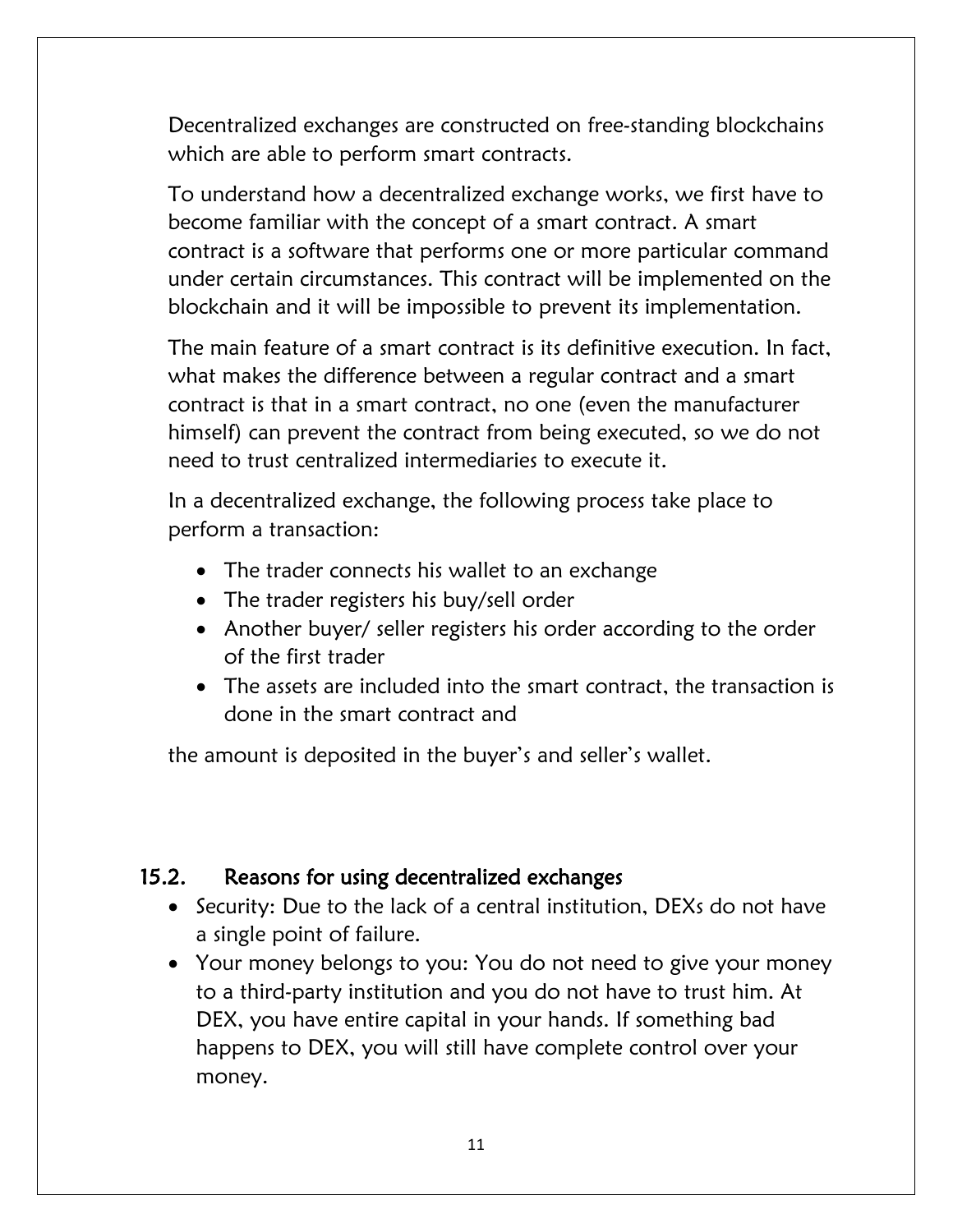Decentralized exchanges are constructed on free-standing blockchains which are able to perform smart contracts.

To understand how a decentralized exchange works, we first have to become familiar with the concept of a smart contract. A smart contract is a software that performs one or more particular command under certain circumstances. This contract will be implemented on the blockchain and it will be impossible to prevent its implementation.

The main feature of a smart contract is its definitive execution. In fact, what makes the difference between a regular contract and a smart contract is that in a smart contract, no one (even the manufacturer himself) can prevent the contract from being executed, so we do not need to trust centralized intermediaries to execute it.

In a decentralized exchange, the following process take place to perform a transaction:

- The trader connects his wallet to an exchange
- The trader registers his buy/sell order
- Another buyer/ seller registers his order according to the order of the first trader
- The assets are included into the smart contract, the transaction is done in the smart contract and

the amount is deposited in the buyer's and seller's wallet.

## 15.2. Reasons for using decentralized exchanges

- Security: Due to the lack of a central institution, DEXs do not have a single point of failure.
- Your money belongs to you: You do not need to give your money to a third-party institution and you do not have to trust him. At DEX, you have entire capital in your hands. If something bad happens to DEX, you will still have complete control over your money.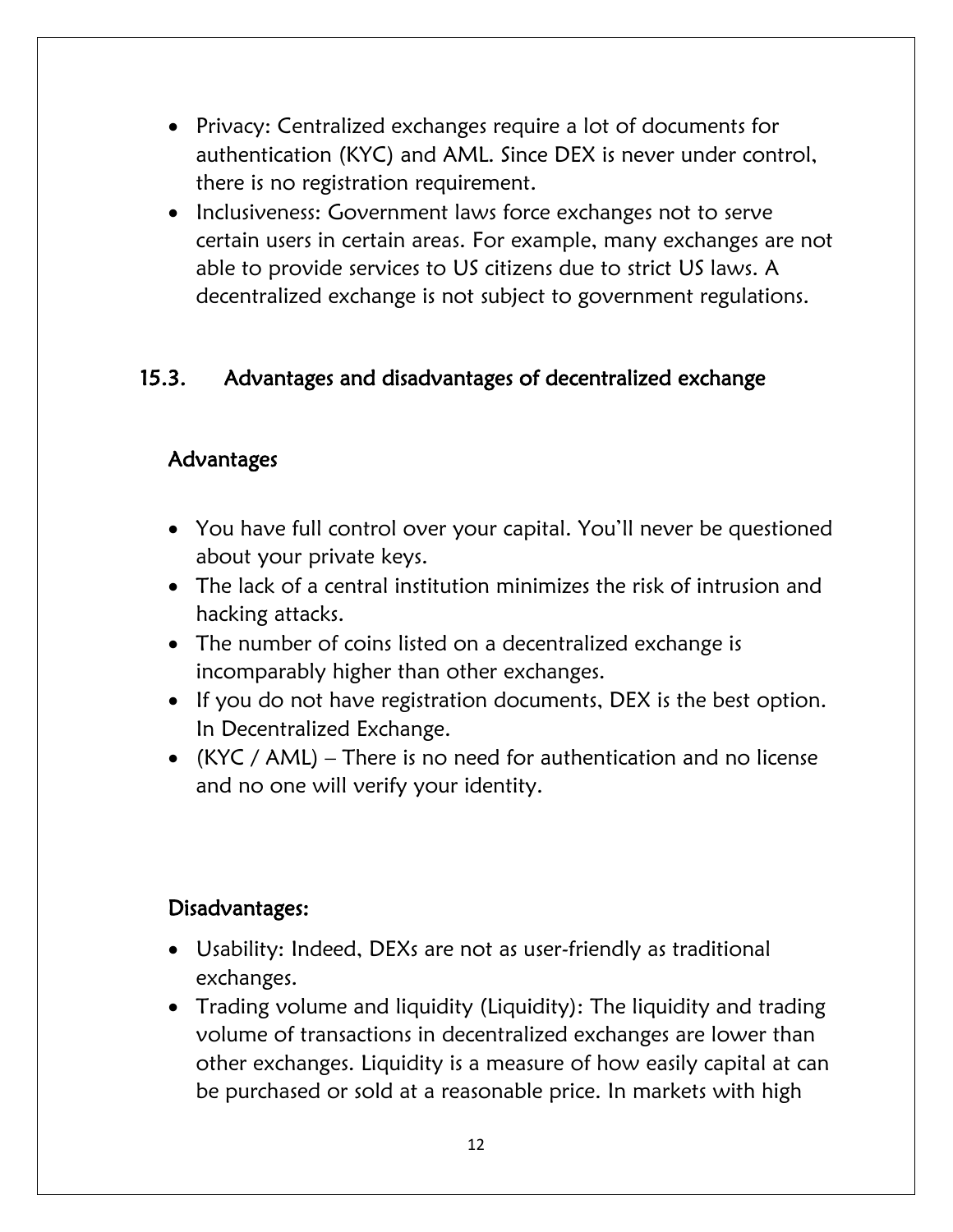- Privacy: Centralized exchanges require a lot of documents for authentication (KYC) and AML. Since DEX is never under control, there is no registration requirement.
- Inclusiveness: Government laws force exchanges not to serve certain users in certain areas. For example, many exchanges are not able to provide services to US citizens due to strict US laws. A decentralized exchange is not subject to government regulations.

# 15.3. Advantages and disadvantages of decentralized exchange

# Advantages

- You have full control over your capital. You'll never be questioned about your private keys.
- The lack of a central institution minimizes the risk of intrusion and hacking attacks.
- The number of coins listed on a decentralized exchange is incomparably higher than other exchanges.
- If you do not have registration documents, DEX is the best option. In Decentralized Exchange.
- (KYC / AML) There is no need for authentication and no license and no one will verify your identity.

## Disadvantages:

- Usability: Indeed, DEXs are not as user-friendly as traditional exchanges.
- Trading volume and liquidity (Liquidity): The liquidity and trading volume of transactions in decentralized exchanges are lower than other exchanges. Liquidity is a measure of how easily capital at can be purchased or sold at a reasonable price. In markets with high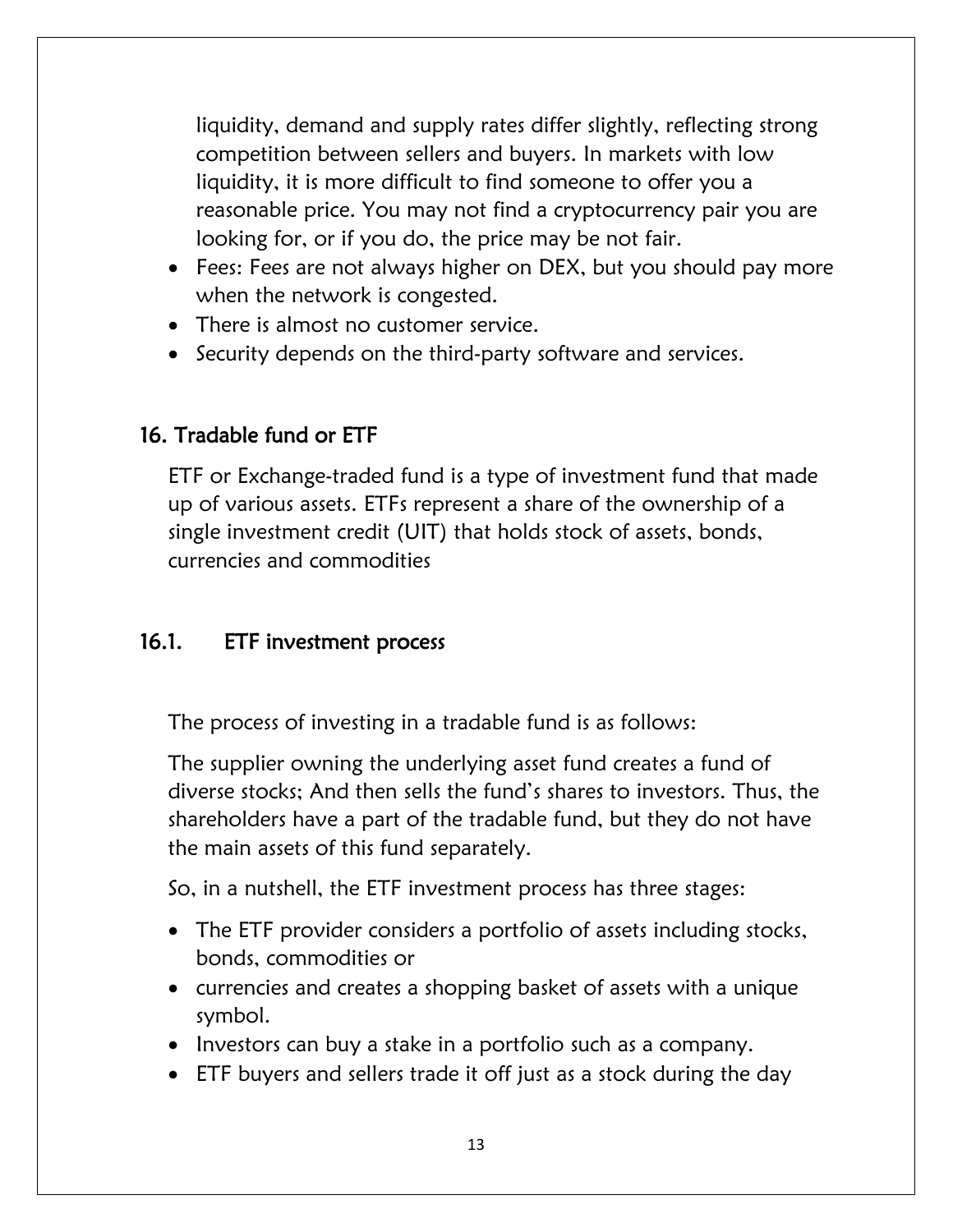liquidity, demand and supply rates differ slightly, reflecting strong competition between sellers and buyers. In markets with low liquidity, it is more difficult to find someone to offer you a reasonable price. You may not find a cryptocurrency pair you are looking for, or if you do, the price may be not fair.

- Fees: Fees are not always higher on DEX, but you should pay more when the network is congested.
- There is almost no customer service.
- Security depends on the third-party software and services.

# 16. Tradable fund or ETF

ETF or Exchange-traded fund is a type of investment fund that made up of various assets. ETFs represent a share of the ownership of a single investment credit (UIT) that holds stock of assets, bonds, currencies and commodities

## 16.1. ETF investment process

The process of investing in a tradable fund is as follows:

The supplier owning the underlying asset fund creates a fund of diverse stocks; And then sells the fund's shares to investors. Thus, the shareholders have a part of the tradable fund, but they do not have the main assets of this fund separately.

So, in a nutshell, the ETF investment process has three stages:

- The ETF provider considers a portfolio of assets including stocks, bonds, commodities or
- currencies and creates a shopping basket of assets with a unique symbol.
- Investors can buy a stake in a portfolio such as a company.
- ETF buyers and sellers trade it off just as a stock during the day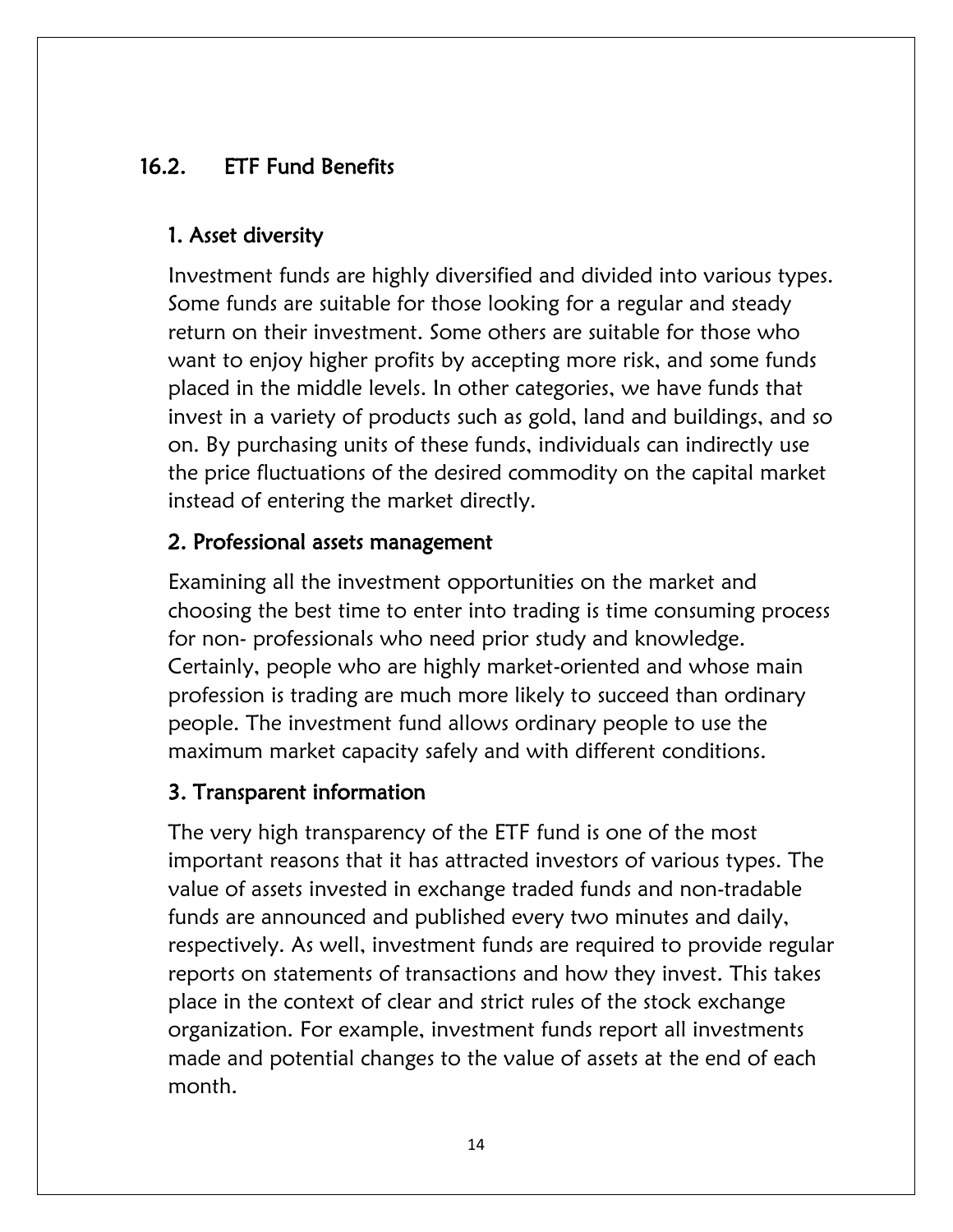# 16.2. ETF Fund Benefits

## 1. Asset diversity

Investment funds are highly diversified and divided into various types. Some funds are suitable for those looking for a regular and steady return on their investment. Some others are suitable for those who want to enjoy higher profits by accepting more risk, and some funds placed in the middle levels. In other categories, we have funds that invest in a variety of products such as gold, land and buildings, and so on. By purchasing units of these funds, individuals can indirectly use the price fluctuations of the desired commodity on the capital market instead of entering the market directly.

## 2. Professional assets management

Examining all the investment opportunities on the market and choosing the best time to enter into trading is time consuming process for non- professionals who need prior study and knowledge. Certainly, people who are highly market-oriented and whose main profession is trading are much more likely to succeed than ordinary people. The investment fund allows ordinary people to use the maximum market capacity safely and with different conditions.

## 3. Transparent information

The very high transparency of the ETF fund is one of the most important reasons that it has attracted investors of various types. The value of assets invested in exchange traded funds and non-tradable funds are announced and published every two minutes and daily, respectively. As well, investment funds are required to provide regular reports on statements of transactions and how they invest. This takes place in the context of clear and strict rules of the stock exchange organization. For example, investment funds report all investments made and potential changes to the value of assets at the end of each month.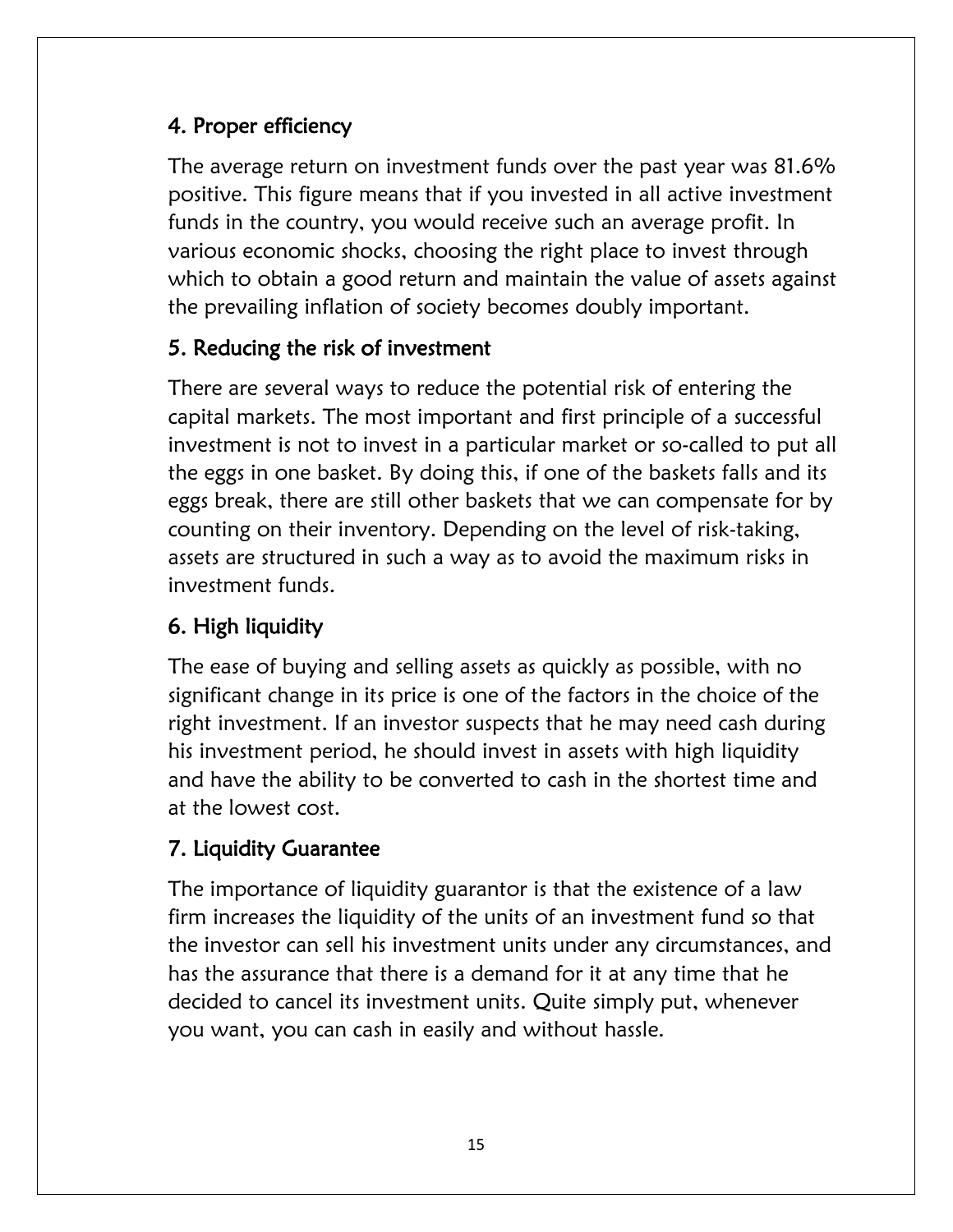# 4. Proper efficiency

The average return on investment funds over the past year was 81.6% positive. This figure means that if you invested in all active investment funds in the country, you would receive such an average profit. In various economic shocks, choosing the right place to invest through which to obtain a good return and maintain the value of assets against the prevailing inflation of society becomes doubly important.

# 5. Reducing the risk of investment

There are several ways to reduce the potential risk of entering the capital markets. The most important and first principle of a successful investment is not to invest in a particular market or so-called to put all the eggs in one basket. By doing this, if one of the baskets falls and its eggs break, there are still other baskets that we can compensate for by counting on their inventory. Depending on the level of risk-taking, assets are structured in such a way as to avoid the maximum risks in investment funds.

# 6. High liquidity

The ease of buying and selling assets as quickly as possible, with no significant change in its price is one of the factors in the choice of the right investment. If an investor suspects that he may need cash during his investment period, he should invest in assets with high liquidity and have the ability to be converted to cash in the shortest time and at the lowest cost.

# 7. Liquidity Guarantee

The importance of liquidity guarantor is that the existence of a law firm increases the liquidity of the units of an investment fund so that the investor can sell his investment units under any circumstances, and has the assurance that there is a demand for it at any time that he decided to cancel its investment units. Quite simply put, whenever you want, you can cash in easily and without hassle.